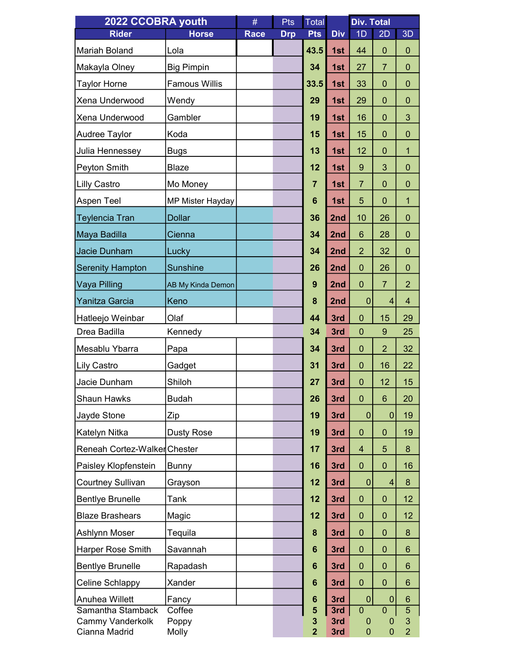| 2022 CCOBRA youth                            |                         | #    | Pts        | Total            |            | <b>Div. Total</b>             |                     |                     |
|----------------------------------------------|-------------------------|------|------------|------------------|------------|-------------------------------|---------------------|---------------------|
| <b>Rider</b>                                 | <b>Horse</b>            | Race | <b>Drp</b> | <b>Pts</b>       | <b>Div</b> | 1D                            | 2D                  | 3D                  |
| Mariah Boland                                | Lola                    |      |            | 43.5             | 1st        | 44                            | $\mathbf 0$         | $\boldsymbol{0}$    |
| Makayla Olney                                | <b>Big Pimpin</b>       |      |            | 34               | 1st        | 27                            | $\overline{7}$      | $\mathbf{0}$        |
| <b>Taylor Horne</b>                          | <b>Famous Willis</b>    |      |            | 33.5             | 1st        | 33                            | $\overline{0}$      | $\mathbf 0$         |
| Xena Underwood                               | Wendy                   |      |            | 29               | 1st        | 29                            | $\mathbf 0$         | 0                   |
| Xena Underwood                               | Gambler                 |      |            | 19               | 1st        | 16                            | $\mathbf 0$         | 3                   |
| Audree Taylor                                | Koda                    |      |            | 15               | 1st        | 15                            | $\mathbf 0$         | $\mathbf 0$         |
| Julia Hennessey                              | Bugs                    |      |            | 13               | 1st        | 12                            | $\mathbf 0$         | 1                   |
| Peyton Smith                                 | <b>Blaze</b>            |      |            | 12               | 1st        | $9\,$                         | 3                   | $\mathbf 0$         |
| <b>Lilly Castro</b>                          | Mo Money                |      |            | $\overline{7}$   | 1st        | $\overline{7}$                | $\mathbf 0$         | $\mathbf{0}$        |
| Aspen Teel                                   | <b>MP Mister Hayday</b> |      |            | $6\phantom{1}6$  | 1st        | 5                             | $\mathbf 0$         | 1                   |
| <b>Teylencia Tran</b>                        | <b>Dollar</b>           |      |            | 36               | 2nd        | 10                            | 26                  | $\boldsymbol{0}$    |
| Maya Badilla                                 | Cienna                  |      |            | 34               | 2nd        | 6                             | 28                  | $\mathbf{0}$        |
| Jacie Dunham                                 | Lucky                   |      |            | 34               | 2nd        | $\overline{2}$                | 32                  | 0                   |
| <b>Serenity Hampton</b>                      | <b>Sunshine</b>         |      |            | 26               | 2nd        | $\mathbf 0$                   | 26                  | $\mathbf 0$         |
| Vaya Pilling                                 | AB My Kinda Demon       |      |            | $\boldsymbol{9}$ | 2nd        | $\mathbf 0$                   | $\overline{7}$      | $\overline{2}$      |
| Yanitza Garcia                               | Keno                    |      |            | 8                | 2nd        | $\mathbf{0}$                  | $\overline{4}$      | $\overline{4}$      |
| Hatleejo Weinbar                             | Olaf                    |      |            | 44               | 3rd        | $\mathbf 0$                   | 15                  | 29                  |
| Drea Badilla                                 | Kennedy                 |      |            | 34               | 3rd        | $\mathbf 0$                   | 9                   | 25                  |
| Mesablu Ybarra                               | Papa                    |      |            | 34               | 3rd        | $\mathbf 0$                   | $\overline{2}$      | 32                  |
| <b>Lily Castro</b>                           | Gadget                  |      |            | 31               | 3rd        | $\mathbf 0$                   | 16                  | 22                  |
| Jacie Dunham                                 | Shiloh                  |      |            | 27               | 3rd        | $\mathbf 0$                   | 12                  | 15                  |
| <b>Shaun Hawks</b>                           | <b>Budah</b>            |      |            | 26               | 3rd        | $\mathbf{0}$                  | $6\phantom{1}$      | 20                  |
| Jayde Stone                                  | Zip                     |      |            | 19               | 3rd        | $\mathbf{0}$                  | $\overline{0}$      | 19                  |
| Katelyn Nitka                                | <b>Dusty Rose</b>       |      |            | 19               | 3rd        | $\mathbf 0$                   | $\mathbf{0}$        | 19                  |
| Reneah Cortez-WalkerChester                  |                         |      |            | 17               | 3rd        | $\overline{4}$                | 5                   | 8                   |
| Paisley Klopfenstein                         | <b>Bunny</b>            |      |            | 16               | 3rd        | $\mathbf{0}$                  | $\mathbf{0}$        | 16                  |
| <b>Courtney Sullivan</b>                     | Grayson                 |      |            | 12               | 3rd        | $\mathbf 0$                   | $\overline{4}$      | 8                   |
| <b>Bentlye Brunelle</b>                      | Tank                    |      |            | 12               | 3rd        | $\mathbf 0$                   | $\mathbf 0$         | 12                  |
| <b>Blaze Brashears</b>                       | Magic                   |      |            | 12               | 3rd        | $\mathbf{0}$                  | $\mathbf{0}$        | 12 <sup>2</sup>     |
| Ashlynn Moser                                | Tequila                 |      |            | 8                | 3rd        | $\mathbf 0$                   | $\overline{0}$      | 8                   |
| <b>Harper Rose Smith</b>                     | Savannah                |      |            | 6                | 3rd        | $\mathbf 0$                   | $\mathbf{0}$        | 6                   |
| <b>Bentlye Brunelle</b>                      | Rapadash                |      |            | $6\phantom{1}$   | 3rd        | $\overline{0}$                | $\mathbf{0}$        | 6                   |
| Celine Schlappy                              | Xander                  |      |            | $6\phantom{1}$   | 3rd        | $\mathbf{0}$                  | $\mathbf{0}$        | 6                   |
| Anuhea Willett                               | Fancy                   |      |            | 6                | 3rd        | $\mathbf 0$                   | $\mathbf 0$         | $6\phantom{1}6$     |
| Samantha Stamback<br><b>Cammy Vanderkolk</b> | Coffee<br>Poppy         |      |            | 5<br>3           | 3rd<br>3rd | $\overline{0}$<br>$\mathbf 0$ | $\overline{0}$<br>0 | $\overline{5}$<br>3 |
| Cianna Madrid                                | Molly                   |      |            | $\overline{2}$   | 3rd        | $\mathbf{0}$                  | $\overline{0}$      | $\overline{2}$      |